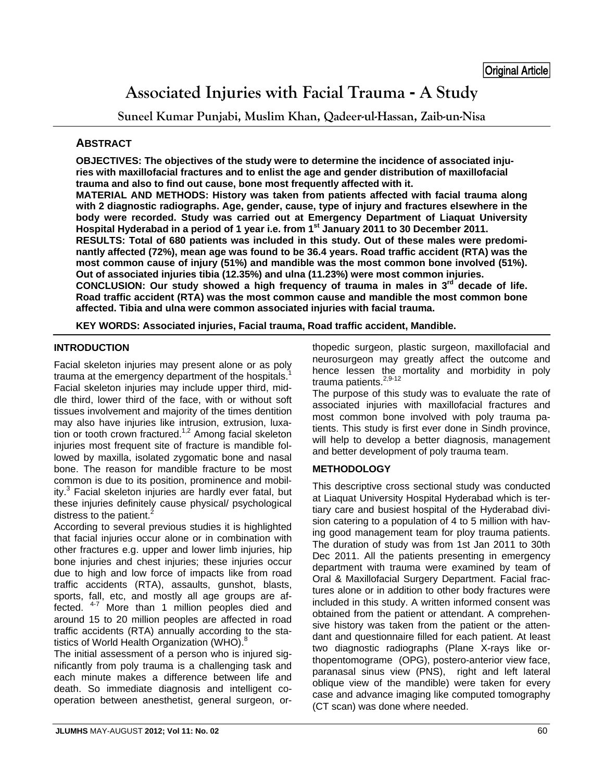# **Associated Injuries with Facial Trauma - A Study**

**Suneel Kumar Punjabi, Muslim Khan, Qadeer-ul-Hassan, Zaib-un-Nisa** 

# **ABSTRACT**

**OBJECTIVES: The objectives of the study were to determine the incidence of associated injuries with maxillofacial fractures and to enlist the age and gender distribution of maxillofacial trauma and also to find out cause, bone most frequently affected with it.** 

**MATERIAL AND METHODS: History was taken from patients affected with facial trauma along with 2 diagnostic radiographs. Age, gender, cause, type of injury and fractures elsewhere in the body were recorded. Study was carried out at Emergency Department of Liaquat University Hospital Hyderabad in a period of 1 year i.e. from 1st January 2011 to 30 December 2011. RESULTS: Total of 680 patients was included in this study. Out of these males were predomi-**

**nantly affected (72%), mean age was found to be 36.4 years. Road traffic accident (RTA) was the most common cause of injury (51%) and mandible was the most common bone involved (51%). Out of associated injuries tibia (12.35%) and ulna (11.23%) were most common injuries.** 

**CONCLUSION: Our study showed a high frequency of trauma in males in 3rd decade of life. Road traffic accident (RTA) was the most common cause and mandible the most common bone affected. Tibia and ulna were common associated injuries with facial trauma.** 

**KEY WORDS: Associated injuries, Facial trauma, Road traffic accident, Mandible.** 

# **INTRODUCTION**

Facial skeleton injuries may present alone or as poly trauma at the emergency department of the hospitals.<sup>1</sup> Facial skeleton injuries may include upper third, middle third, lower third of the face, with or without soft tissues involvement and majority of the times dentition may also have injuries like intrusion, extrusion, luxation or tooth crown fractured.<sup>1,2</sup> Among facial skeleton injuries most frequent site of fracture is mandible followed by maxilla, isolated zygomatic bone and nasal bone. The reason for mandible fracture to be most common is due to its position, prominence and mobility.<sup>3</sup> Facial skeleton injuries are hardly ever fatal, but these injuries definitely cause physical/ psychological distress to the patient. $^{2}$ 

According to several previous studies it is highlighted that facial injuries occur alone or in combination with other fractures e.g. upper and lower limb injuries, hip bone injuries and chest injuries; these injuries occur due to high and low force of impacts like from road traffic accidents (RTA), assaults, gunshot, blasts, sports, fall, etc, and mostly all age groups are affected. 4-7 More than 1 million peoples died and around 15 to 20 million peoples are affected in road traffic accidents (RTA) annually according to the statistics of World Health Organization (WHO).<sup>8</sup>

The initial assessment of a person who is injured significantly from poly trauma is a challenging task and each minute makes a difference between life and death. So immediate diagnosis and intelligent cooperation between anesthetist, general surgeon, orthopedic surgeon, plastic surgeon, maxillofacial and neurosurgeon may greatly affect the outcome and hence lessen the mortality and morbidity in poly trauma patients.<sup>2,9-12</sup>

The purpose of this study was to evaluate the rate of associated injuries with maxillofacial fractures and most common bone involved with poly trauma patients. This study is first ever done in Sindh province, will help to develop a better diagnosis, management and better development of poly trauma team.

# **METHODOLOGY**

This descriptive cross sectional study was conducted at Liaquat University Hospital Hyderabad which is tertiary care and busiest hospital of the Hyderabad division catering to a population of 4 to 5 million with having good management team for ploy trauma patients. The duration of study was from 1st Jan 2011 to 30th Dec 2011. All the patients presenting in emergency department with trauma were examined by team of Oral & Maxillofacial Surgery Department. Facial fractures alone or in addition to other body fractures were included in this study. A written informed consent was obtained from the patient or attendant. A comprehensive history was taken from the patient or the attendant and questionnaire filled for each patient. At least two diagnostic radiographs (Plane X-rays like orthopentomograme (OPG), postero-anterior view face, paranasal sinus view (PNS), right and left lateral oblique view of the mandible) were taken for every case and advance imaging like computed tomography (CT scan) was done where needed.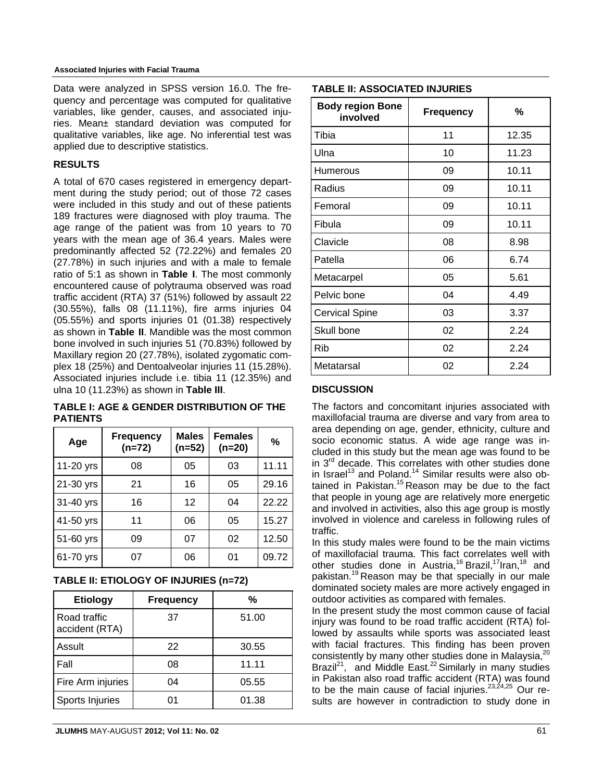#### **Associated Injuries with Facial Trauma**

Data were analyzed in SPSS version 16.0. The frequency and percentage was computed for qualitative variables, like gender, causes, and associated injuries. Mean± standard deviation was computed for qualitative variables, like age. No inferential test was applied due to descriptive statistics.

## **RESULTS**

A total of 670 cases registered in emergency department during the study period; out of those 72 cases were included in this study and out of these patients 189 fractures were diagnosed with ploy trauma. The age range of the patient was from 10 years to 70 years with the mean age of 36.4 years. Males were predominantly affected 52 (72.22%) and females 20 (27.78%) in such injuries and with a male to female ratio of 5:1 as shown in **Table I**. The most commonly encountered cause of polytrauma observed was road traffic accident (RTA) 37 (51%) followed by assault 22 (30.55%), falls 08 (11.11%), fire arms injuries 04 (05.55%) and sports injuries 01 (01.38) respectively as shown in **Table II**. Mandible was the most common bone involved in such injuries 51 (70.83%) followed by Maxillary region 20 (27.78%), isolated zygomatic complex 18 (25%) and Dentoalveolar injuries 11 (15.28%). Associated injuries include i.e. tibia 11 (12.35%) and ulna 10 (11.23%) as shown in **Table III**.

**TABLE I: AGE & GENDER DISTRIBUTION OF THE PATIENTS**

| Age         | <b>Frequency</b><br>$(n=72)$ | <b>Males</b><br>$(n=52)$ | <b>Females</b><br>$(n=20)$ | %     |
|-------------|------------------------------|--------------------------|----------------------------|-------|
| 11-20 yrs   | 08                           | 05                       | 03                         | 11.11 |
| 21-30 yrs   | 21                           | 16                       | 05                         | 29.16 |
| 31-40 yrs   | 16                           | 12                       | 04                         | 22.22 |
| 41-50 yrs   | 11                           | 06                       | 05                         | 15.27 |
| $51-60$ yrs | 09                           | 07                       | 02                         | 12.50 |
| 61-70 yrs   | 07                           | 06                       | 01                         | 09.72 |

| <b>Etiology</b>                | <b>Frequency</b> | %     |
|--------------------------------|------------------|-------|
| Road traffic<br>accident (RTA) | 37               | 51.00 |
| Assult                         | 22               | 30.55 |
| l Fall                         | 08               | 11.11 |
| Fire Arm injuries              | 04               | 05.55 |
| Sports Injuries                | 01               | 01.38 |

## **TABLE II: ASSOCIATED INJURIES**

| <b>Body region Bone</b><br>involved | <b>Frequency</b> | %     |
|-------------------------------------|------------------|-------|
| Tibia                               | 11               | 12.35 |
| Ulna                                | 10               | 11.23 |
| Humerous                            | 09               | 10.11 |
| Radius                              | 09               | 10.11 |
| Femoral                             | 09               | 10.11 |
| Fibula                              | 09               | 10.11 |
| Clavicle                            | 08               | 8.98  |
| Patella                             | 06               | 6.74  |
| Metacarpel                          | 05               | 5.61  |
| Pelvic bone                         | 04               | 4.49  |
| <b>Cervical Spine</b>               | 03               | 3.37  |
| Skull bone                          | 02               | 2.24  |
| Rib                                 | 02               | 2.24  |
| Metatarsal                          | 02               | 2.24  |

### **DISCUSSION**

The factors and concomitant injuries associated with maxillofacial trauma are diverse and vary from area to area depending on age, gender, ethnicity, culture and socio economic status. A wide age range was included in this study but the mean age was found to be in  $3<sup>rd</sup>$  decade. This correlates with other studies done in Israel<sup>13</sup> and Poland.<sup>14</sup> Similar results were also obtained in Pakistan.<sup>15</sup> Reason may be due to the fact that people in young age are relatively more energetic and involved in activities, also this age group is mostly involved in violence and careless in following rules of traffic.

In this study males were found to be the main victims of maxillofacial trauma. This fact correlates well with other studies done in Austria,<sup>16</sup> Brazil,<sup>17</sup>Iran,<sup>18</sup> and pakistan.19 Reason may be that specially in our male dominated society males are more actively engaged in outdoor activities as compared with females.

In the present study the most common cause of facial injury was found to be road traffic accident (RTA) followed by assaults while sports was associated least with facial fractures. This finding has been proven consistently by many other studies done in Malaysia, $^{20}$ Brazil<sup>21</sup>, and Middle East.<sup>22</sup> Similarly in many studies in Pakistan also road traffic accident (RTA) was found to be the main cause of facial injuries. $23,24,25$  Our results are however in contradiction to study done in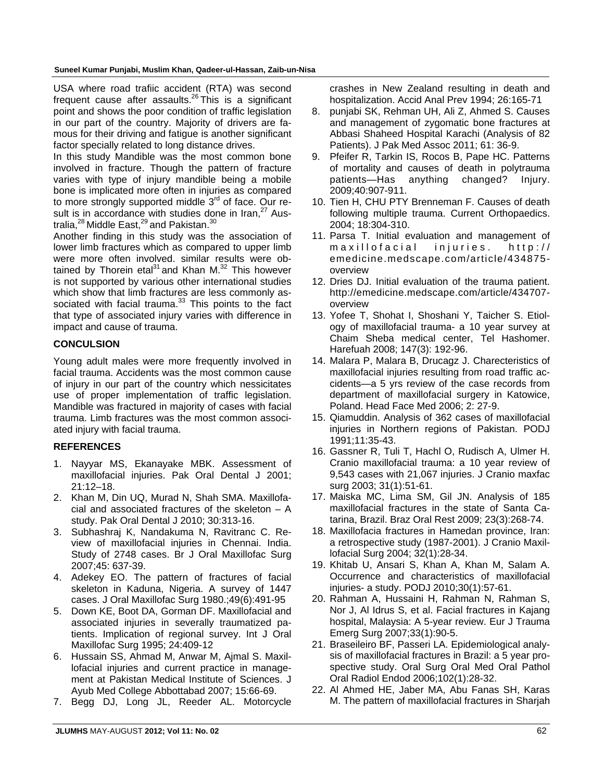USA where road trafiic accident (RTA) was second frequent cause after assaults.<sup>26</sup> This is a significant point and shows the poor condition of traffic legislation in our part of the country. Majority of drivers are famous for their driving and fatigue is another significant factor specially related to long distance drives.

In this study Mandible was the most common bone involved in fracture. Though the pattern of fracture varies with type of injury mandible being a mobile bone is implicated more often in injuries as compared to more strongly supported middle  $3<sup>rd</sup>$  of face. Our result is in accordance with studies done in Iran.<sup>27</sup> Australia, $^{28}$  Middle East, $^{29}$  and Pakistan. $^{30}$ 

Another finding in this study was the association of lower limb fractures which as compared to upper limb were more often involved. similar results were obtained by Thorein etal $31$  and Khan M. $32$  This however is not supported by various other international studies which show that limb fractures are less commonly associated with facial trauma. $33$  This points to the fact that type of associated injury varies with difference in impact and cause of trauma.

## **CONCULSION**

Young adult males were more frequently involved in facial trauma. Accidents was the most common cause of injury in our part of the country which nessicitates use of proper implementation of traffic legislation. Mandible was fractured in majority of cases with facial trauma. Limb fractures was the most common associated injury with facial trauma.

# **REFERENCES**

- 1. Nayyar MS, Ekanayake MBK. Assessment of maxillofacial injuries. Pak Oral Dental J 2001; 21:12–18.
- 2. Khan M, Din UQ, Murad N, Shah SMA. Maxillofacial and associated fractures of the skeleton – A study. Pak Oral Dental J 2010; 30:313-16.
- 3. Subhashraj K, Nandakuma N, Ravitranc C. Review of maxillofacial injuries in Chennai. India. Study of 2748 cases. Br J Oral Maxillofac Surg 2007;45: 637-39.
- 4. Adekey EO. The pattern of fractures of facial skeleton in Kaduna, Nigeria. A survey of 1447 cases. J Oral Maxillofac Surg 1980.;49(6):491-95
- 5. Down KE, Boot DA, Gorman DF. Maxillofacial and associated injuries in severally traumatized patients. Implication of regional survey. Int J Oral Maxillofac Surg 1995; 24:409-12
- 6. Hussain SS, Ahmad M, Anwar M, Ajmal S. Maxillofacial injuries and current practice in management at Pakistan Medical Institute of Sciences. J Ayub Med College Abbottabad 2007; 15:66-69.
- 7. Begg DJ, Long JL, Reeder AL. Motorcycle

crashes in New Zealand resulting in death and hospitalization. Accid Anal Prev 1994; 26:165-71

- 8. punjabi SK, Rehman UH, Ali Z, Ahmed S. Causes and management of zygomatic bone fractures at Abbasi Shaheed Hospital Karachi (Analysis of 82 Patients). J Pak Med Assoc 2011; 61: 36-9.
- 9. Pfeifer R, Tarkin IS, Rocos B, Pape HC. Patterns of mortality and causes of death in polytrauma patients—Has anything changed? Injury. 2009;40:907-911.
- 10. Tien H, CHU PTY Brenneman F. Causes of death following multiple trauma. Current Orthopaedics. 2004; 18:304-310.
- 11. Parsa T. Initial evaluation and management of maxillofacial injuries. http:// emedicine.medscape.com/article/434875 overview
- 12. Dries DJ. Initial evaluation of the trauma patient. http://emedicine.medscape.com/article/434707 overview
- 13. Yofee T, Shohat I, Shoshani Y, Taicher S. Etiology of maxillofacial trauma- a 10 year survey at Chaim Sheba medical center, Tel Hashomer. Harefuah 2008; 147(3): 192-96.
- 14. Malara P, Malara B, Drucagz J. Charecteristics of maxillofacial injuries resulting from road traffic accidents—a 5 yrs review of the case records from department of maxillofacial surgery in Katowice, Poland. Head Face Med 2006; 2: 27-9.
- 15. Qiamuddin. Analysis of 362 cases of maxillofacial injuries in Northern regions of Pakistan. PODJ 1991;11:35-43.
- 16. Gassner R, Tuli T, Hachl O, Rudisch A, Ulmer H. Cranio maxillofacial trauma: a 10 year review of 9,543 cases with 21,067 injuries. J Cranio maxfac surg 2003; 31(1):51-61.
- 17. Maiska MC, Lima SM, Gil JN. Analysis of 185 maxillofacial fractures in the state of Santa Catarina, Brazil. Braz Oral Rest 2009; 23(3):268-74.
- 18. Maxillofacia fractures in Hamedan province, Iran: a retrospective study (1987-2001). J Cranio Maxillofacial Surg 2004; 32(1):28-34.
- 19. Khitab U, Ansari S, Khan A, Khan M, Salam A. Occurrence and characteristics of maxillofacial injuries- a study. PODJ 2010;30(1):57-61.
- 20. Rahman A, Hussaini H, Rahman N, Rahman S, Nor J, Al Idrus S, et al. Facial fractures in Kajang hospital, Malaysia: A 5-year review. Eur J Trauma Emerg Surg 2007;33(1):90-5.
- 21. Braseileiro BF, Passeri LA. Epidemiological analysis of maxillofacial fractures in Brazil: a 5 year prospective study. Oral Surg Oral Med Oral Pathol Oral Radiol Endod 2006;102(1):28-32.
- 22. Al Ahmed HE, Jaber MA, Abu Fanas SH, Karas M. The pattern of maxillofacial fractures in Sharjah